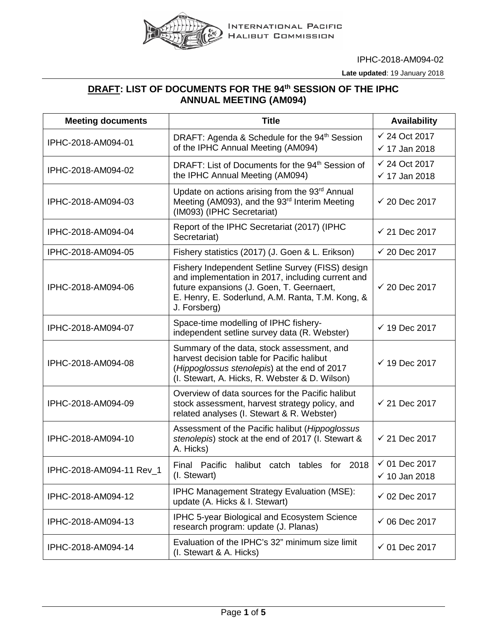

IPHC-2018-AM094-02

**Late updated**: 19 January 2018

## **DRAFT: LIST OF DOCUMENTS FOR THE 94th SESSION OF THE IPHC ANNUAL MEETING (AM094)**

| <b>Meeting documents</b> | <b>Title</b>                                                                                                                                                                                                           | <b>Availability</b>                                  |
|--------------------------|------------------------------------------------------------------------------------------------------------------------------------------------------------------------------------------------------------------------|------------------------------------------------------|
| IPHC-2018-AM094-01       | DRAFT: Agenda & Schedule for the 94 <sup>th</sup> Session<br>of the IPHC Annual Meeting (AM094)                                                                                                                        | $\checkmark$ 24 Oct 2017<br>$\checkmark$ 17 Jan 2018 |
| IPHC-2018-AM094-02       | DRAFT: List of Documents for the 94 <sup>th</sup> Session of<br>the IPHC Annual Meeting (AM094)                                                                                                                        | $\checkmark$ 24 Oct 2017<br>$\checkmark$ 17 Jan 2018 |
| IPHC-2018-AM094-03       | Update on actions arising from the 93rd Annual<br>Meeting (AM093), and the 93rd Interim Meeting<br>(IM093) (IPHC Secretariat)                                                                                          | $\checkmark$ 20 Dec 2017                             |
| IPHC-2018-AM094-04       | Report of the IPHC Secretariat (2017) (IPHC<br>Secretariat)                                                                                                                                                            | $\checkmark$ 21 Dec 2017                             |
| IPHC-2018-AM094-05       | Fishery statistics (2017) (J. Goen & L. Erikson)                                                                                                                                                                       | $\checkmark$ 20 Dec 2017                             |
| IPHC-2018-AM094-06       | Fishery Independent Setline Survey (FISS) design<br>and implementation in 2017, including current and<br>future expansions (J. Goen, T. Geernaert,<br>E. Henry, E. Soderlund, A.M. Ranta, T.M. Kong, &<br>J. Forsberg) | $\checkmark$ 20 Dec 2017                             |
| IPHC-2018-AM094-07       | Space-time modelling of IPHC fishery-<br>independent setline survey data (R. Webster)                                                                                                                                  | $\checkmark$ 19 Dec 2017                             |
| IPHC-2018-AM094-08       | Summary of the data, stock assessment, and<br>harvest decision table for Pacific halibut<br>(Hippoglossus stenolepis) at the end of 2017<br>(I. Stewart, A. Hicks, R. Webster & D. Wilson)                             | $\checkmark$ 19 Dec 2017                             |
| IPHC-2018-AM094-09       | Overview of data sources for the Pacific halibut<br>stock assessment, harvest strategy policy, and<br>related analyses (I. Stewart & R. Webster)                                                                       | $\checkmark$ 21 Dec 2017                             |
| IPHC-2018-AM094-10       | Assessment of the Pacific halibut (Hippoglossus<br>stenolepis) stock at the end of 2017 (I. Stewart &<br>A. Hicks)                                                                                                     | $\checkmark$ 21 Dec 2017                             |
| IPHC-2018-AM094-11 Rev_1 | halibut catch tables for 2018<br>Final<br>Pacific<br>(I. Stewart)                                                                                                                                                      | $\checkmark$ 01 Dec 2017<br>$\checkmark$ 10 Jan 2018 |
| IPHC-2018-AM094-12       | IPHC Management Strategy Evaluation (MSE):<br>update (A. Hicks & I. Stewart)                                                                                                                                           | $\checkmark$ 02 Dec 2017                             |
| IPHC-2018-AM094-13       | IPHC 5-year Biological and Ecosystem Science<br>research program: update (J. Planas)                                                                                                                                   | $\checkmark$ 06 Dec 2017                             |
| IPHC-2018-AM094-14       | Evaluation of the IPHC's 32" minimum size limit<br>(I. Stewart & A. Hicks)                                                                                                                                             | $\checkmark$ 01 Dec 2017                             |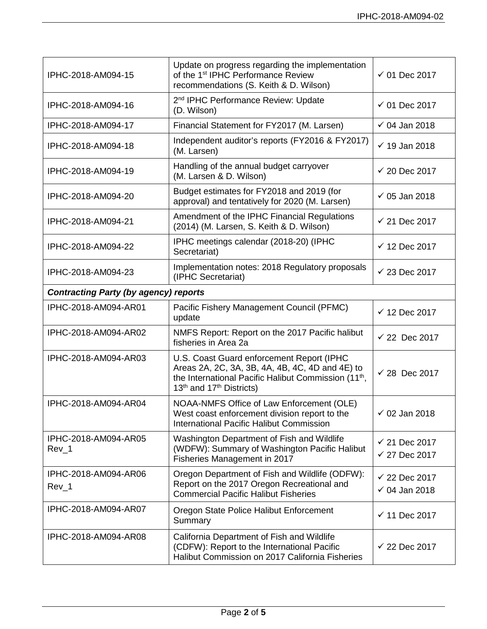| IPHC-2018-AM094-15                           | Update on progress regarding the implementation<br>of the 1 <sup>st</sup> IPHC Performance Review<br>recommendations (S. Keith & D. Wilson)                                                                          | $\checkmark$ 01 Dec 2017                             |  |
|----------------------------------------------|----------------------------------------------------------------------------------------------------------------------------------------------------------------------------------------------------------------------|------------------------------------------------------|--|
| IPHC-2018-AM094-16                           | 2 <sup>nd</sup> IPHC Performance Review: Update<br>(D. Wilson)                                                                                                                                                       | $\checkmark$ 01 Dec 2017                             |  |
| IPHC-2018-AM094-17                           | Financial Statement for FY2017 (M. Larsen)                                                                                                                                                                           | $\checkmark$ 04 Jan 2018                             |  |
| IPHC-2018-AM094-18                           | Independent auditor's reports (FY2016 & FY2017)<br>(M. Larsen)                                                                                                                                                       | $\checkmark$ 19 Jan 2018                             |  |
| IPHC-2018-AM094-19                           | Handling of the annual budget carryover<br>(M. Larsen & D. Wilson)                                                                                                                                                   | $\checkmark$ 20 Dec 2017                             |  |
| IPHC-2018-AM094-20                           | Budget estimates for FY2018 and 2019 (for<br>approval) and tentatively for 2020 (M. Larsen)                                                                                                                          | $\checkmark$ 05 Jan 2018                             |  |
| IPHC-2018-AM094-21                           | Amendment of the IPHC Financial Regulations<br>(2014) (M. Larsen, S. Keith & D. Wilson)                                                                                                                              | $\checkmark$ 21 Dec 2017                             |  |
| IPHC-2018-AM094-22                           | IPHC meetings calendar (2018-20) (IPHC<br>Secretariat)                                                                                                                                                               | $\checkmark$ 12 Dec 2017                             |  |
| IPHC-2018-AM094-23                           | Implementation notes: 2018 Regulatory proposals<br>(IPHC Secretariat)                                                                                                                                                | $\checkmark$ 23 Dec 2017                             |  |
| <b>Contracting Party (by agency) reports</b> |                                                                                                                                                                                                                      |                                                      |  |
| IPHC-2018-AM094-AR01                         | Pacific Fishery Management Council (PFMC)<br>update                                                                                                                                                                  | $\checkmark$ 12 Dec 2017                             |  |
| IPHC-2018-AM094-AR02                         | NMFS Report: Report on the 2017 Pacific halibut<br>fisheries in Area 2a                                                                                                                                              | $\checkmark$ 22 Dec 2017                             |  |
| IPHC-2018-AM094-AR03                         | U.S. Coast Guard enforcement Report (IPHC<br>Areas 2A, 2C, 3A, 3B, 4A, 4B, 4C, 4D and 4E) to<br>the International Pacific Halibut Commission (11 <sup>th</sup> ,<br>13 <sup>th</sup> and 17 <sup>th</sup> Districts) | $\checkmark$ 28 Dec 2017                             |  |
| IPHC-2018-AM094-AR04                         | NOAA-NMFS Office of Law Enforcement (OLE)<br>West coast enforcement division report to the<br><b>International Pacific Halibut Commission</b>                                                                        | $\checkmark$ 02 Jan 2018                             |  |
| IPHC-2018-AM094-AR05<br>Rev_1                | Washington Department of Fish and Wildlife<br>(WDFW): Summary of Washington Pacific Halibut<br>Fisheries Management in 2017                                                                                          | $\checkmark$ 21 Dec 2017<br>$\checkmark$ 27 Dec 2017 |  |
| IPHC-2018-AM094-AR06<br>Rev_1                | Oregon Department of Fish and Wildlife (ODFW):<br>Report on the 2017 Oregon Recreational and<br><b>Commercial Pacific Halibut Fisheries</b>                                                                          | $\checkmark$ 22 Dec 2017<br>$\times$ 04 Jan 2018     |  |
| IPHC-2018-AM094-AR07                         | Oregon State Police Halibut Enforcement<br>Summary                                                                                                                                                                   | $\checkmark$ 11 Dec 2017                             |  |
| IPHC-2018-AM094-AR08                         | California Department of Fish and Wildlife<br>(CDFW): Report to the International Pacific<br>Halibut Commission on 2017 California Fisheries                                                                         | $\checkmark$ 22 Dec 2017                             |  |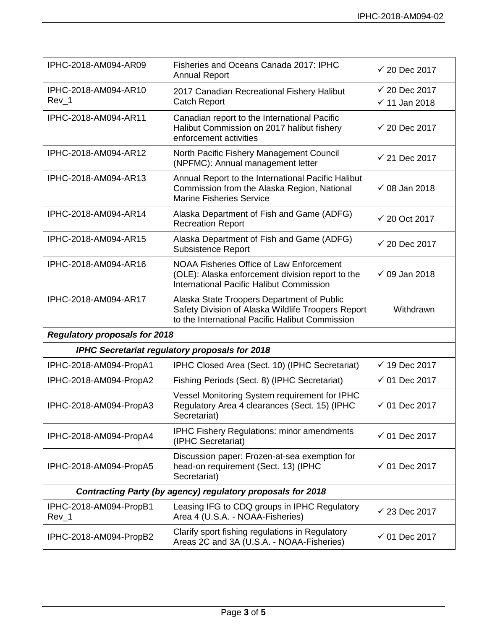| IPHC-2018-AM094-AR09                                        | Fisheries and Oceans Canada 2017: IPHC<br><b>Annual Report</b>                                                                                      | $\checkmark$ 20 Dec 2017                             |  |
|-------------------------------------------------------------|-----------------------------------------------------------------------------------------------------------------------------------------------------|------------------------------------------------------|--|
| IPHC-2018-AM094-AR10<br>Rev_1                               | 2017 Canadian Recreational Fishery Halibut<br><b>Catch Report</b>                                                                                   | $\checkmark$ 20 Dec 2017<br>$\checkmark$ 11 Jan 2018 |  |
| IPHC-2018-AM094-AR11                                        | Canadian report to the International Pacific<br>Halibut Commission on 2017 halibut fishery<br>enforcement activities                                | $\checkmark$ 20 Dec 2017                             |  |
| IPHC-2018-AM094-AR12                                        | North Pacific Fishery Management Council<br>(NPFMC): Annual management letter                                                                       | $\checkmark$ 21 Dec 2017                             |  |
| IPHC-2018-AM094-AR13                                        | Annual Report to the International Pacific Halibut<br>Commission from the Alaska Region, National<br><b>Marine Fisheries Service</b>                | $\checkmark$ 08 Jan 2018                             |  |
| IPHC-2018-AM094-AR14                                        | Alaska Department of Fish and Game (ADFG)<br><b>Recreation Report</b>                                                                               | $\checkmark$ 20 Oct 2017                             |  |
| IPHC-2018-AM094-AR15                                        | Alaska Department of Fish and Game (ADFG)<br><b>Subsistence Report</b>                                                                              | $\checkmark$ 20 Dec 2017                             |  |
| IPHC-2018-AM094-AR16                                        | <b>NOAA Fisheries Office of Law Enforcement</b><br>(OLE): Alaska enforcement division report to the<br>International Pacific Halibut Commission     | $\checkmark$ 09 Jan 2018                             |  |
| IPHC-2018-AM094-AR17                                        | Alaska State Troopers Department of Public<br>Safety Division of Alaska Wildlife Troopers Report<br>to the International Pacific Halibut Commission | Withdrawn                                            |  |
| <b>Regulatory proposals for 2018</b>                        |                                                                                                                                                     |                                                      |  |
|                                                             | <b>IPHC Secretariat regulatory proposals for 2018</b>                                                                                               |                                                      |  |
| IPHC-2018-AM094-PropA1                                      | IPHC Closed Area (Sect. 10) (IPHC Secretariat)                                                                                                      | $\checkmark$ 19 Dec 2017                             |  |
| IPHC-2018-AM094-PropA2                                      | Fishing Periods (Sect. 8) (IPHC Secretariat)                                                                                                        | $\checkmark$ 01 Dec 2017                             |  |
| IPHC-2018-AM094-PropA3                                      | Vessel Monitoring System requirement for IPHC<br>Regulatory Area 4 clearances (Sect. 15) (IPHC<br>Secretariat)                                      | $\checkmark$ 01 Dec 2017                             |  |
| IPHC-2018-AM094-PropA4                                      | <b>IPHC Fishery Regulations: minor amendments</b><br>(IPHC Secretariat)                                                                             | $\checkmark$ 01 Dec 2017                             |  |
| IPHC-2018-AM094-PropA5                                      | Discussion paper: Frozen-at-sea exemption for<br>head-on requirement (Sect. 13) (IPHC<br>Secretariat)                                               | $\checkmark$ 01 Dec 2017                             |  |
| Contracting Party (by agency) regulatory proposals for 2018 |                                                                                                                                                     |                                                      |  |
| IPHC-2018-AM094-PropB1<br>$Rev_1$                           | Leasing IFG to CDQ groups in IPHC Regulatory<br>Area 4 (U.S.A. - NOAA-Fisheries)                                                                    | $\sqrt{23}$ Dec 2017                                 |  |
| IPHC-2018-AM094-PropB2                                      | Clarify sport fishing regulations in Regulatory<br>Areas 2C and 3A (U.S.A. - NOAA-Fisheries)                                                        | $\checkmark$ 01 Dec 2017                             |  |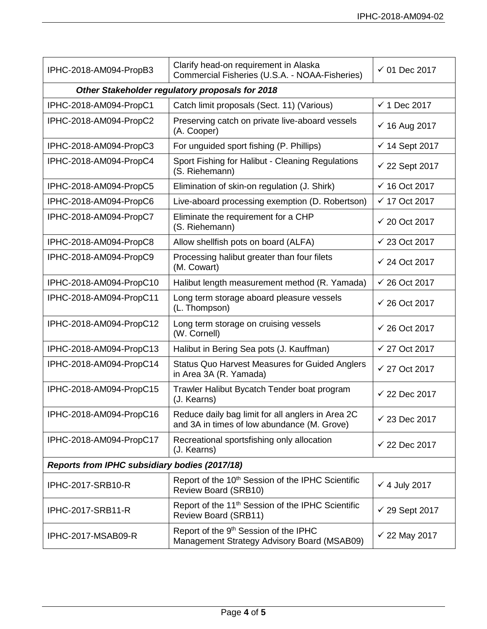| IPHC-2018-AM094-PropB3                          | Clarify head-on requirement in Alaska<br>Commercial Fisheries (U.S.A. - NOAA-Fisheries)          | $\checkmark$ 01 Dec 2017  |  |
|-------------------------------------------------|--------------------------------------------------------------------------------------------------|---------------------------|--|
| Other Stakeholder regulatory proposals for 2018 |                                                                                                  |                           |  |
| IPHC-2018-AM094-PropC1                          | Catch limit proposals (Sect. 11) (Various)                                                       | $\checkmark$ 1 Dec 2017   |  |
| IPHC-2018-AM094-PropC2                          | Preserving catch on private live-aboard vessels<br>(A. Cooper)                                   | $\checkmark$ 16 Aug 2017  |  |
| IPHC-2018-AM094-PropC3                          | For unguided sport fishing (P. Phillips)                                                         | $\checkmark$ 14 Sept 2017 |  |
| IPHC-2018-AM094-PropC4                          | Sport Fishing for Halibut - Cleaning Regulations<br>(S. Riehemann)                               | $\checkmark$ 22 Sept 2017 |  |
| IPHC-2018-AM094-PropC5                          | Elimination of skin-on regulation (J. Shirk)                                                     | $\checkmark$ 16 Oct 2017  |  |
| IPHC-2018-AM094-PropC6                          | Live-aboard processing exemption (D. Robertson)                                                  | $\checkmark$ 17 Oct 2017  |  |
| IPHC-2018-AM094-PropC7                          | Eliminate the requirement for a CHP<br>(S. Riehemann)                                            | $\checkmark$ 20 Oct 2017  |  |
| IPHC-2018-AM094-PropC8                          | Allow shellfish pots on board (ALFA)                                                             | $\checkmark$ 23 Oct 2017  |  |
| IPHC-2018-AM094-PropC9                          | Processing halibut greater than four filets<br>(M. Cowart)                                       | $\checkmark$ 24 Oct 2017  |  |
| IPHC-2018-AM094-PropC10                         | Halibut length measurement method (R. Yamada)                                                    | $\checkmark$ 26 Oct 2017  |  |
| IPHC-2018-AM094-PropC11                         | Long term storage aboard pleasure vessels<br>(L. Thompson)                                       | $\checkmark$ 26 Oct 2017  |  |
| IPHC-2018-AM094-PropC12                         | Long term storage on cruising vessels<br>(W. Cornell)                                            | $\checkmark$ 26 Oct 2017  |  |
| IPHC-2018-AM094-PropC13                         | Halibut in Bering Sea pots (J. Kauffman)                                                         | ✔ 27 Oct 2017             |  |
| IPHC-2018-AM094-PropC14                         | <b>Status Quo Harvest Measures for Guided Anglers</b><br>in Area 3A (R. Yamada)                  | ✔ 27 Oct 2017             |  |
| IPHC-2018-AM094-PropC15                         | Trawler Halibut Bycatch Tender boat program<br>(J. Kearns)                                       | $\checkmark$ 22 Dec 2017  |  |
| IPHC-2018-AM094-PropC16                         | Reduce daily bag limit for all anglers in Area 2C<br>and 3A in times of low abundance (M. Grove) | $\checkmark$ 23 Dec 2017  |  |
| IPHC-2018-AM094-PropC17                         | Recreational sportsfishing only allocation<br>(J. Kearns)                                        | $\checkmark$ 22 Dec 2017  |  |
| Reports from IPHC subsidiary bodies (2017/18)   |                                                                                                  |                           |  |
| IPHC-2017-SRB10-R                               | Report of the 10 <sup>th</sup> Session of the IPHC Scientific<br>Review Board (SRB10)            | $\checkmark$ 4 July 2017  |  |
| IPHC-2017-SRB11-R                               | Report of the 11 <sup>th</sup> Session of the IPHC Scientific<br>Review Board (SRB11)            | $\checkmark$ 29 Sept 2017 |  |
| IPHC-2017-MSAB09-R                              | Report of the 9 <sup>th</sup> Session of the IPHC<br>Management Strategy Advisory Board (MSAB09) | $\checkmark$ 22 May 2017  |  |